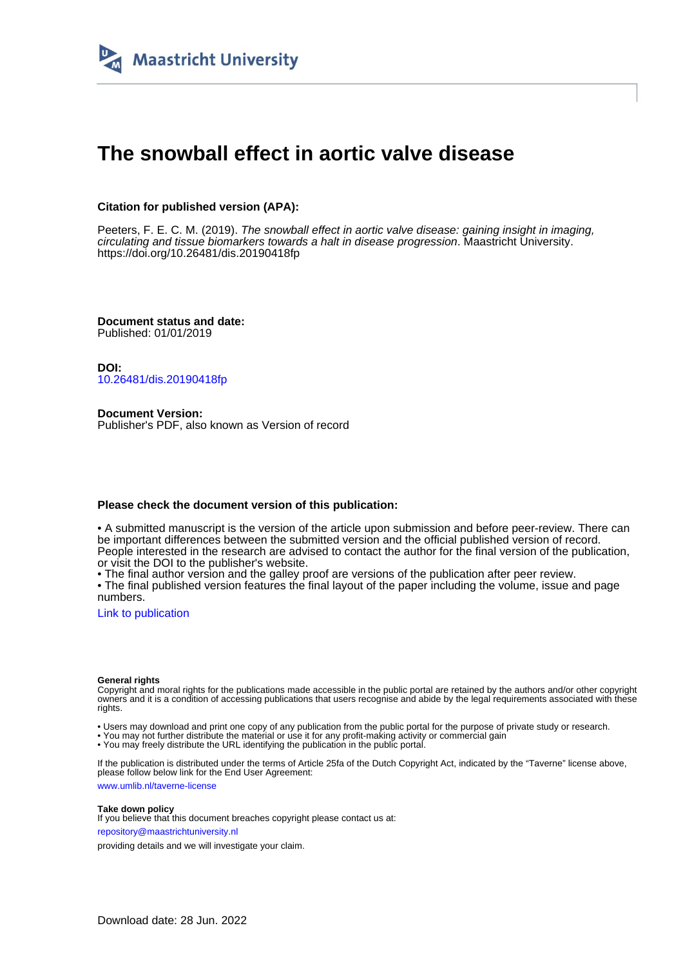

### **The snowball effect in aortic valve disease**

#### **Citation for published version (APA):**

Peeters, F. E. C. M. (2019). The snowball effect in aortic valve disease: gaining insight in imaging, circulating and tissue biomarkers towards a halt in disease progression. Maastricht University. <https://doi.org/10.26481/dis.20190418fp>

**Document status and date:** Published: 01/01/2019

**DOI:** [10.26481/dis.20190418fp](https://doi.org/10.26481/dis.20190418fp)

**Document Version:** Publisher's PDF, also known as Version of record

#### **Please check the document version of this publication:**

• A submitted manuscript is the version of the article upon submission and before peer-review. There can be important differences between the submitted version and the official published version of record. People interested in the research are advised to contact the author for the final version of the publication, or visit the DOI to the publisher's website.

• The final author version and the galley proof are versions of the publication after peer review.

• The final published version features the final layout of the paper including the volume, issue and page numbers.

[Link to publication](https://cris.maastrichtuniversity.nl/en/publications/c8ee0d6a-bc05-4f73-aa7b-a69734c33f1f)

#### **General rights**

Copyright and moral rights for the publications made accessible in the public portal are retained by the authors and/or other copyright owners and it is a condition of accessing publications that users recognise and abide by the legal requirements associated with these rights.

• Users may download and print one copy of any publication from the public portal for the purpose of private study or research.

• You may not further distribute the material or use it for any profit-making activity or commercial gain

• You may freely distribute the URL identifying the publication in the public portal.

If the publication is distributed under the terms of Article 25fa of the Dutch Copyright Act, indicated by the "Taverne" license above, please follow below link for the End User Agreement:

www.umlib.nl/taverne-license

#### **Take down policy**

If you believe that this document breaches copyright please contact us at: repository@maastrichtuniversity.nl

providing details and we will investigate your claim.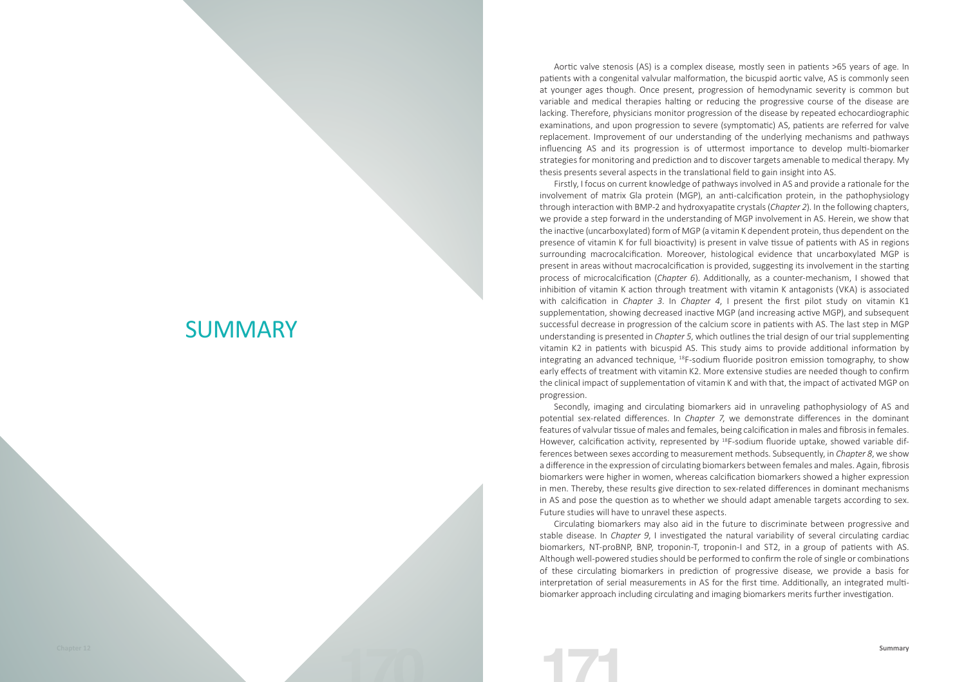# **SUMMARY**

Aortic valve stenosis (AS) is a complex disease, mostly seen in patients >65 years of age. In patients with a congenital valvular malformation, the bicuspid aortic valve, AS is commonly seen at younger ages though. Once present, progression of hemodynamic severity is common but variable and medical therapies halting or reducing the progressive course of the disease are lacking. Therefore, physicians monitor progression of the disease by repeated echocardiographic examinations, and upon progression to severe (symptomatic) AS, patients are referred for valve replacement. Improvement of our understanding of the underlying mechanisms and pathways influencing AS and its progression is of uttermost importance to develop multi-biomarker strategies for monitoring and prediction and to discover targets amenable to medical therapy. My thesis presents several aspects in the translational field to gain insight into AS.

Firstly, I focus on current knowledge of pathways involved in AS and provide a rationale for the involvement of matrix Gla protein (MGP), an anti-calcification protein, in the pathophysiology through interaction with BMP-2 and hydroxyapatite crystals (*Chapter 2*). In the following chapters, we provide a step forward in the understanding of MGP involvement in AS. Herein, we show that the inactive (uncarboxylated) form of MGP (a vitamin K dependent protein, thus dependent on the presence of vitamin K for full bioactivity) is present in valve tissue of patients with AS in regions surrounding macrocalcification. Moreover, histological evidence that uncarboxylated MGP is present in areas without macrocalcification is provided, suggesting its involvement in the starting process of microcalcification (*Chapter 6*). Additionally, as a counter-mechanism, I showed that inhibition of vitamin K action through treatment with vitamin K antagonists (VKA) is associated with calcification in *Chapter 3*. In *Chapter 4*, I present the first pilot study on vitamin K1 supplementation, showing decreased inactive MGP (and increasing active MGP), and subsequent successful decrease in progression of the calcium score in patients with AS. The last step in MGP understanding is presented in *Chapter 5*, which outlines the trial design of our trial supplementing vitamin K2 in patients with bicuspid AS. This study aims to provide additional information by integrating an advanced technique, 18F-sodium fluoride positron emission tomography, to show early effects of treatment with vitamin K2. More extensive studies are needed though to confirm the clinical impact of supplementation of vitamin K and with that, the impact of activated MGP on progression.

Secondly, imaging and circulating biomarkers aid in unraveling pathophysiology of AS and potential sex-related differences. In *Chapter 7*, we demonstrate differences in the dominant features of valvular tissue of males and females, being calcification in males and fibrosis in females. However, calcification activity, represented by 18F-sodium fluoride uptake, showed variable differences between sexes according to measurement methods. Subsequently, in *Chapter 8*, we show a difference in the expression of circulating biomarkers between females and males. Again, fibrosis biomarkers were higher in women, whereas calcification biomarkers showed a higher expression in men. Thereby, these results give direction to sex-related differences in dominant mechanisms in AS and pose the question as to whether we should adapt amenable targets according to sex. Future studies will have to unravel these aspects.

Circulating biomarkers may also aid in the future to discriminate between progressive and stable disease. In *Chapter 9*, I investigated the natural variability of several circulating cardiac biomarkers, NT-proBNP, BNP, troponin-T, troponin-I and ST2, in a group of patients with AS. Although well-powered studies should be performed to confirm the role of single or combinations of these circulating biomarkers in prediction of progressive disease, we provide a basis for interpretation of serial measurements in AS for the first time. Additionally, an integrated multibiomarker approach including circulating and imaging biomarkers merits further investigation.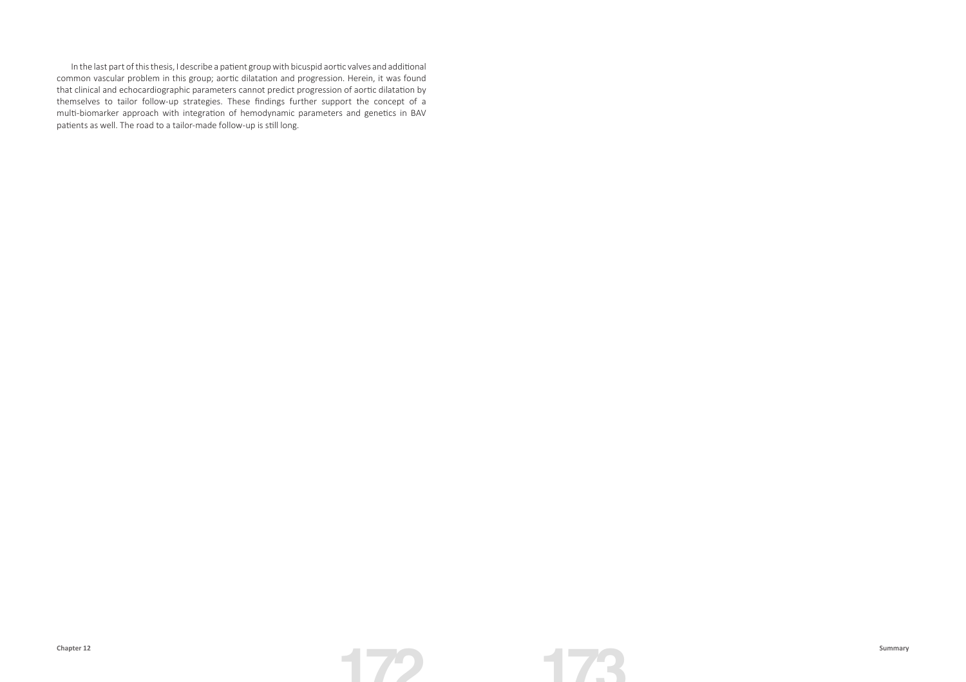In the last part of this thesis, I describe a patient group with bicuspid aortic valves and additional common vascular problem in this group; aortic dilatation and progression. Herein, it was found that clinical and echocardiographic parameters cannot predict progression of aortic dilatation by themselves to tailor follow-up strategies. These findings further support the concept of a multi-biomarker approach with integration of hemodynamic parameters and genetics in BAV patients as well. The road to a tailor-made follow-up is still long.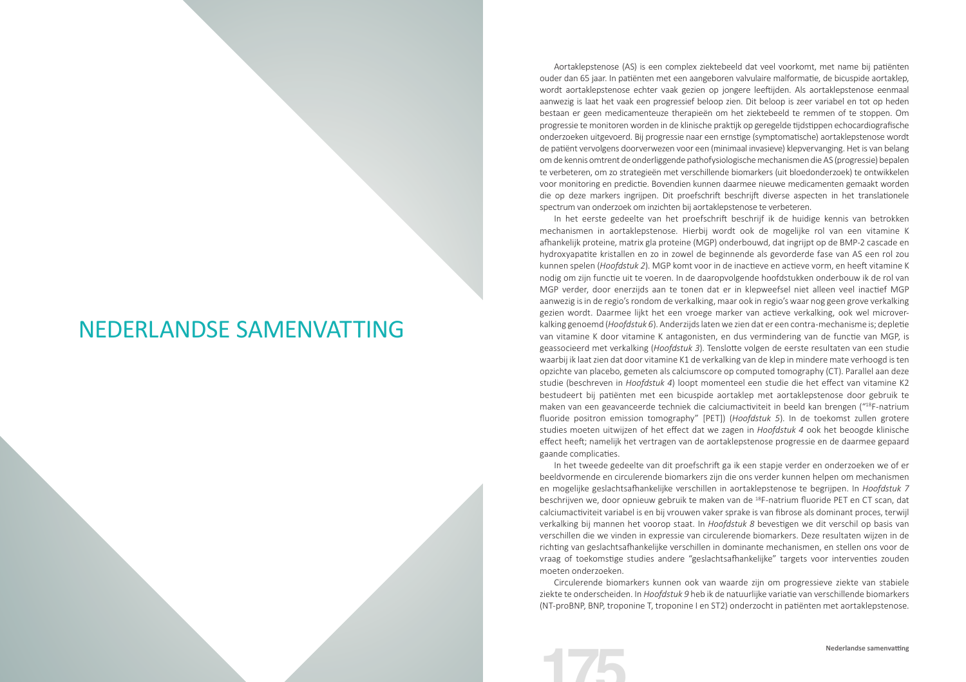## NEDERLANDSE SAMENVATTING

Aortaklepstenose (AS) is een complex ziektebeeld dat veel voorkomt, met name bij patiënten ouder dan 65 jaar. In patiënten met een aangeboren valvulaire malformatie, de bicuspide aortaklep, wordt aortaklepstenose echter vaak gezien op jongere leeftijden. Als aortaklepstenose eenmaal aanwezig is laat het vaak een progressief beloop zien. Dit beloop is zeer variabel en tot op heden bestaan er geen medicamenteuze therapieën om het ziektebeeld te remmen of te stoppen. Om progressie te monitoren worden in de klinische praktijk op geregelde tijdstippen echocardiografische onderzoeken uitgevoerd. Bij progressie naar een ernstige (symptomatische) aortaklepstenose wordt de patiënt vervolgens doorverwezen voor een (minimaal invasieve) klepvervanging. Het is van belang om de kennis omtrent de onderliggende pathofysiologische mechanismen die AS (progressie) bepalen te verbeteren, om zo strategieën met verschillende biomarkers (uit bloedonderzoek) te ontwikkelen voor monitoring en predictie. Bovendien kunnen daarmee nieuwe medicamenten gemaakt worden die op deze markers ingrijpen. Dit proefschrift beschrijft diverse aspecten in het translationele spectrum van onderzoek om inzichten bij aortaklepstenose te verbeteren.

In het eerste gedeelte van het proefschrift beschrijf ik de huidige kennis van betrokken mechanismen in aortaklepstenose. Hierbij wordt ook de mogelijke rol van een vitamine K afhankelijk proteine, matrix gla proteine (MGP) onderbouwd, dat ingrijpt op de BMP-2 cascade en hydroxyapatite kristallen en zo in zowel de beginnende als gevorderde fase van AS een rol zou kunnen spelen (*Hoofdstuk 2*). MGP komt voor in de inactieve en actieve vorm, en heeft vitamine K nodig om zijn functie uit te voeren. In de daaropvolgende hoofdstukken onderbouw ik de rol van MGP verder, door enerzijds aan te tonen dat er in klepweefsel niet alleen veel inactief MGP aanwezig is in de regio's rondom de verkalking, maar ook in regio's waar nog geen grove verkalking gezien wordt. Daarmee lijkt het een vroege marker van actieve verkalking, ook wel microverkalking genoemd (*Hoofdstuk 6*). Anderzijds laten we zien dat er een contra-mechanisme is; depletie van vitamine K door vitamine K antagonisten, en dus vermindering van de functie van MGP, is geassocieerd met verkalking (*Hoofdstuk 3*). Tenslotte volgen de eerste resultaten van een studie waarbij ik laat zien dat door vitamine K1 de verkalking van de klep in mindere mate verhoogd is ten opzichte van placebo, gemeten als calciumscore op computed tomography (CT). Parallel aan deze studie (beschreven in *Hoofdstuk 4*) loopt momenteel een studie die het effect van vitamine K2 bestudeert bij patiënten met een bicuspide aortaklep met aortaklepstenose door gebruik te maken van een geavanceerde techniek die calciumactiviteit in beeld kan brengen ("18F-natrium fluoride positron emission tomography" [PET]) (*Hoofdstuk 5*). In de toekomst zullen grotere studies moeten uitwijzen of het effect dat we zagen in *Hoofdstuk 4* ook het beoogde klinische effect heeft; namelijk het vertragen van de aortaklepstenose progressie en de daarmee gepaard gaande complicaties.

In het tweede gedeelte van dit proefschrift ga ik een stapje verder en onderzoeken we of er beeldvormende en circulerende biomarkers zijn die ons verder kunnen helpen om mechanismen en mogelijke geslachtsafhankelijke verschillen in aortaklepstenose te begrijpen. In *Hoofdstuk 7*  beschrijven we, door opnieuw gebruik te maken van de 18F-natrium fluoride PET en CT scan, dat calciumactiviteit variabel is en bij vrouwen vaker sprake is van fibrose als dominant proces, terwijl verkalking bij mannen het voorop staat. In *Hoofdstuk 8* bevestigen we dit verschil op basis van verschillen die we vinden in expressie van circulerende biomarkers. Deze resultaten wijzen in de richting van geslachtsafhankelijke verschillen in dominante mechanismen, en stellen ons voor de vraag of toekomstige studies andere "geslachtsafhankelijke" targets voor interventies zouden moeten onderzoeken.

Circulerende biomarkers kunnen ook van waarde zijn om progressieve ziekte van stabiele ziekte te onderscheiden. In *Hoofdstuk 9* heb ik de natuurlijke variatie van verschillende biomarkers (NT-proBNP, BNP, troponine T, troponine I en ST2) onderzocht in patiënten met aortaklepstenose.